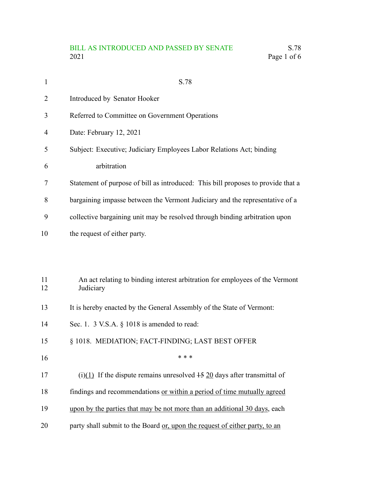# BILL AS INTRODUCED AND PASSED BY SENATE S.78<br>2021 Page 1 of 6 Page 1 of 6

| $\mathbf{1}$ | S.78                                                                                      |
|--------------|-------------------------------------------------------------------------------------------|
| 2            | Introduced by Senator Hooker                                                              |
| 3            | Referred to Committee on Government Operations                                            |
| 4            | Date: February 12, 2021                                                                   |
| 5            | Subject: Executive; Judiciary Employees Labor Relations Act; binding                      |
| 6            | arbitration                                                                               |
| 7            | Statement of purpose of bill as introduced: This bill proposes to provide that a          |
| 8            | bargaining impasse between the Vermont Judiciary and the representative of a              |
| 9            | collective bargaining unit may be resolved through binding arbitration upon               |
| 10           | the request of either party.                                                              |
|              |                                                                                           |
| 11<br>12     | An act relating to binding interest arbitration for employees of the Vermont<br>Judiciary |
| 13           | It is hereby enacted by the General Assembly of the State of Vermont:                     |
| 14           | Sec. 1. $3$ V.S.A. $\S$ 1018 is amended to read:                                          |
| 15           | § 1018. MEDIATION; FACT-FINDING; LAST BEST OFFER                                          |
| 16           | * * *                                                                                     |
| 17           | (i)(1) If the dispute remains unresolved $\frac{15}{20}$ days after transmittal of        |
| 18           | findings and recommendations or within a period of time mutually agreed                   |
| 19           | upon by the parties that may be not more than an additional 30 days, each                 |
| 20           | party shall submit to the Board or, upon the request of either party, to an               |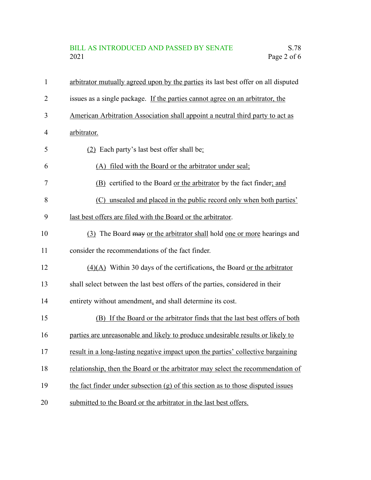# BILL AS INTRODUCED AND PASSED BY SENATE S.78<br>2021 Page 2 of 6 Page 2 of 6

| $\mathbf{1}$ | arbitrator mutually agreed upon by the parties its last best offer on all disputed |
|--------------|------------------------------------------------------------------------------------|
| 2            | issues as a single package. If the parties cannot agree on an arbitrator, the      |
| 3            | American Arbitration Association shall appoint a neutral third party to act as     |
| 4            | arbitrator.                                                                        |
| 5            | (2) Each party's last best offer shall be:                                         |
| 6            | (A) filed with the Board or the arbitrator under seal;                             |
| 7            | (B) certified to the Board or the arbitrator by the fact finder; and               |
| 8            | (C) unsealed and placed in the public record only when both parties'               |
| 9            | last best offers are filed with the Board or the arbitrator.                       |
| 10           | (3) The Board may or the arbitrator shall hold one or more hearings and            |
| 11           | consider the recommendations of the fact finder.                                   |
| 12           | $(4)(A)$ Within 30 days of the certifications, the Board or the arbitrator         |
| 13           | shall select between the last best offers of the parties, considered in their      |
| 14           | entirety without amendment, and shall determine its cost.                          |
| 15           | (B) If the Board or the arbitrator finds that the last best offers of both         |
| 16           | parties are unreasonable and likely to produce undesirable results or likely to    |
| 17           | result in a long-lasting negative impact upon the parties' collective bargaining   |
| 18           | relationship, then the Board or the arbitrator may select the recommendation of    |
| 19           | the fact finder under subsection $(g)$ of this section as to those disputed issues |
| 20           | submitted to the Board or the arbitrator in the last best offers.                  |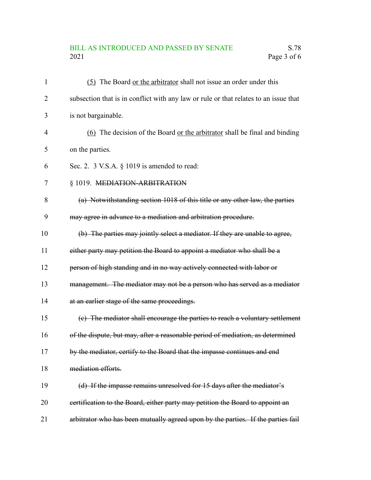# BILL AS INTRODUCED AND PASSED BY SENATE S.78<br>2021 Page 3 of 6 Page 3 of 6

| $\mathbf{1}$   | (5) The Board or the arbitrator shall not issue an order under this                  |
|----------------|--------------------------------------------------------------------------------------|
| $\overline{2}$ | subsection that is in conflict with any law or rule or that relates to an issue that |
| 3              | is not bargainable.                                                                  |
| $\overline{4}$ | (6) The decision of the Board or the arbitrator shall be final and binding           |
| 5              | on the parties.                                                                      |
| 6              | Sec. 2. 3 V.S.A. § 1019 is amended to read:                                          |
| $\tau$         | § 1019. MEDIATION-ARBITRATION                                                        |
| 8              | (a) Notwithstanding section 1018 of this title or any other law, the parties         |
| 9              | may agree in advance to a mediation and arbitration procedure.                       |
| 10             | (b) The parties may jointly select a mediator. If they are unable to agree,          |
| 11             | either party may petition the Board to appoint a mediator who shall be a             |
| 12             | person of high standing and in no way actively connected with labor or               |
| 13             | management. The mediator may not be a person who has served as a mediator            |
| 14             | at an earlier stage of the same proceedings.                                         |
| 15             | (c) The mediator shall encourage the parties to reach a voluntary settlement         |
| 16             | of the dispute, but may, after a reasonable period of mediation, as determined       |
| 17             | by the mediator, certify to the Board that the impasse continues and end             |
| 18             | mediation efforts.                                                                   |
| 19             | (d) If the impasse remains unresolved for 15 days after the mediator's               |
| 20             | eertification to the Board, either party may petition the Board to appoint an        |
| 21             | arbitrator who has been mutually agreed upon by the parties. If the parties fail     |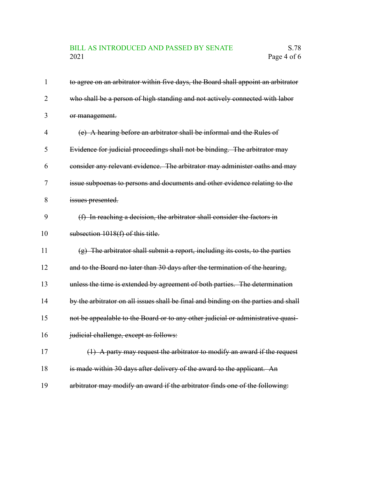# BILL AS INTRODUCED AND PASSED BY SENATE S.78<br>2021 Page 4 of 6 Page 4 of 6

| $\mathbf{1}$   | to agree on an arbitrator within five days, the Board shall appoint an arbitrator   |
|----------------|-------------------------------------------------------------------------------------|
| $\overline{2}$ | who shall be a person of high standing and not actively connected with labor        |
| 3              | or management.                                                                      |
| $\overline{4}$ | (e) A hearing before an arbitrator shall be informal and the Rules of               |
| 5              | Evidence for judicial proceedings shall not be binding. The arbitrator may          |
| 6              | consider any relevant evidence. The arbitrator may administer oaths and may         |
| 7              | issue subpoenas to persons and documents and other evidence relating to the         |
| 8              | issues presented.                                                                   |
| 9              | (f) In reaching a decision, the arbitrator shall consider the factors in            |
| 10             | subsection 1018(f) of this title.                                                   |
| 11             | (g) The arbitrator shall submit a report, including its costs, to the parties       |
| 12             | and to the Board no later than 30 days after the termination of the hearing,        |
| 13             | unless the time is extended by agreement of both parties. The determination         |
| 14             | by the arbitrator on all issues shall be final and binding on the parties and shall |
| 15             | not be appealable to the Board or to any other judicial or administrative quasi-    |
| 16             | judicial challenge, except as follows:                                              |
| 17             | $(1)$ A party may request the arbitrator to modify an award if the request          |
| 18             | is made within 30 days after delivery of the award to the applicant. An             |
| 19             | arbitrator may modify an award if the arbitrator finds one of the following:        |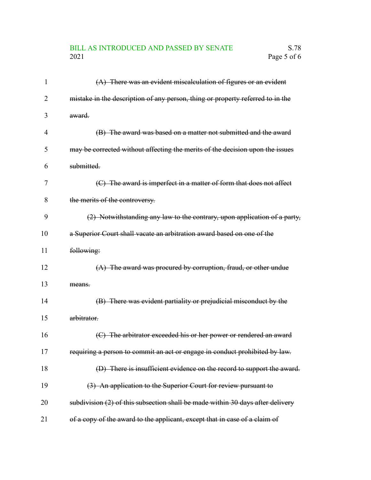# BILL AS INTRODUCED AND PASSED BY SENATE S.78<br>2021 Page 5 of 6 Page 5 of 6

| 1  | $(A)$ There was an evident miscalculation of figures or an evident             |
|----|--------------------------------------------------------------------------------|
| 2  | mistake in the description of any person, thing or property referred to in the |
| 3  | award.                                                                         |
| 4  | (B) The award was based on a matter not submitted and the award                |
| 5  | may be corrected without affecting the merits of the decision upon the issues  |
| 6  | submitted.                                                                     |
| 7  | (C) The award is imperfect in a matter of form that does not affect            |
| 8  | the merits of the controversy.                                                 |
| 9  | (2) Notwithstanding any law to the contrary, upon application of a party,      |
| 10 | a Superior Court shall vacate an arbitration award based on one of the         |
| 11 | following:                                                                     |
| 12 | $(A)$ The award was procured by corruption, fraud, or other undue              |
| 13 | means.                                                                         |
| 14 | (B) There was evident partiality or prejudicial misconduct by the              |
| 15 | arbitrator.                                                                    |
| 16 | (C) The arbitrator exceeded his or her power or rendered an award              |
| 17 | requiring a person to commit an act or engage in conduct prohibited by law.    |
| 18 | (D) There is insufficient evidence on the record to support the award.         |
| 19 | (3) An application to the Superior Court for review pursuant to                |
| 20 | subdivision (2) of this subsection shall be made within 30 days after delivery |
| 21 | of a copy of the award to the applicant, except that in case of a claim of     |